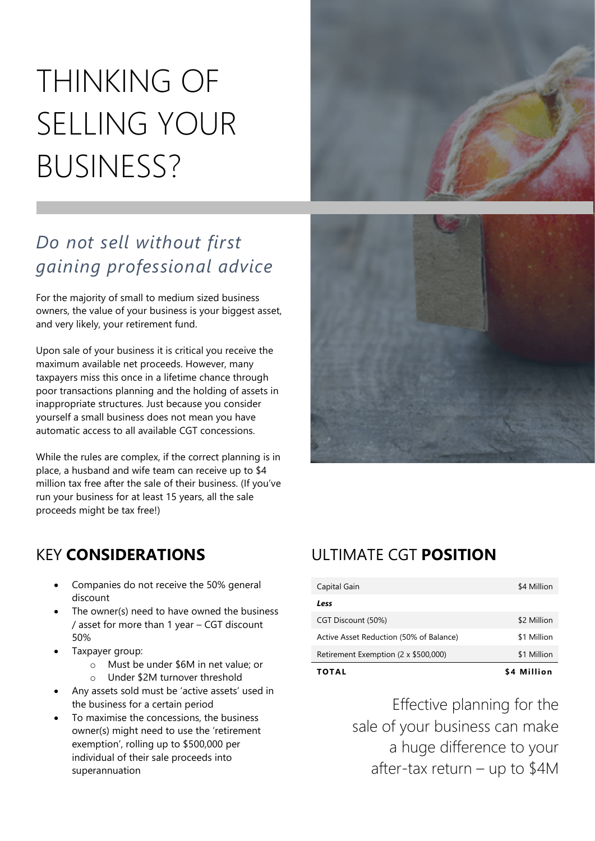# THINKING OF SELLING YOUR BUSINESS?



## *Do not sell without first gaining professional advice*

For the majority of small to medium sized business owners, the value of your business is your biggest asset, and very likely, your retirement fund.

Upon sale of your business it is critical you receive the maximum available net proceeds. However, many taxpayers miss this once in a lifetime chance through poor transactions planning and the holding of assets in inappropriate structures. Just because you consider yourself a small business does not mean you have automatic access to all available CGT concessions.

While the rules are complex, if the correct planning is in place, a husband and wife team can receive up to \$4 million tax free after the sale of their business. (If you've run your business for at least 15 years, all the sale proceeds might be tax free!)



### KEY **CONSIDERATIONS**

- Companies do not receive the 50% general discount
- The owner(s) need to have owned the business / asset for more than 1 year – CGT discount 50%
- Taxpayer group:
	- o Must be under \$6M in net value; or
	- o Under \$2M turnover threshold
- Any assets sold must be 'active assets' used in the business for a certain period
- To maximise the concessions, the business owner(s) might need to use the 'retirement exemption', rolling up to \$500,000 per individual of their sale proceeds into superannuation

## ULTIMATE CGT **POSITION**

| TOTAL                                   | \$4 Million |
|-----------------------------------------|-------------|
| Retirement Exemption (2 x \$500,000)    | \$1 Million |
| Active Asset Reduction (50% of Balance) | \$1 Million |
| CGT Discount (50%)                      | \$2 Million |
| Less                                    |             |
| Capital Gain                            | \$4 Million |

Effective planning for the sale of your business can make a huge difference to your after-tax return – up to \$4M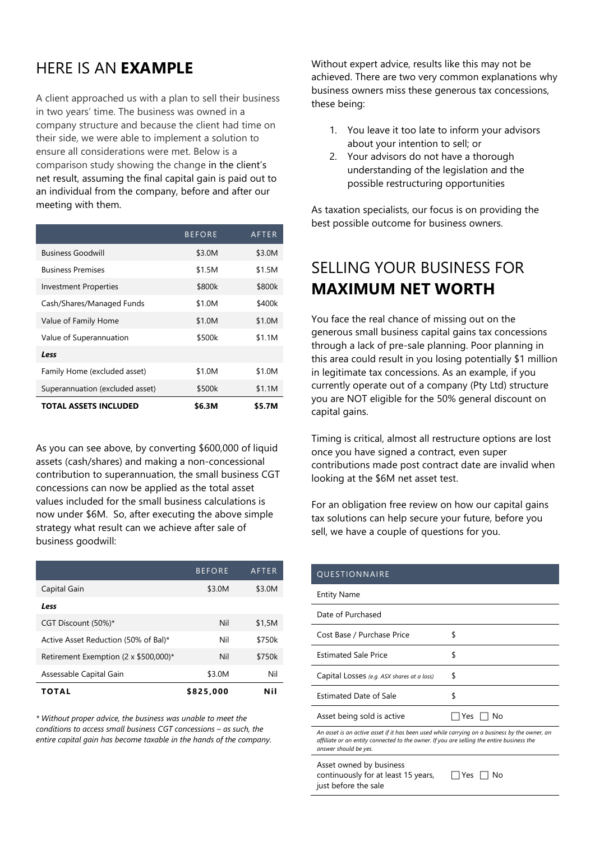## HERE IS AN **EXAMPLE**

A client approached us with a plan to sell their business in two years' time. The business was owned in a company structure and because the client had time on their side, we were able to implement a solution to ensure all considerations were met. Below is a comparison study showing the change in the client's net result, assuming the final capital gain is paid out to an individual from the company, before and after our meeting with them.

|                                 | <b>BEFORE</b> | AFTER  |
|---------------------------------|---------------|--------|
| <b>Business Goodwill</b>        | \$3.0M        | \$3.0M |
| <b>Business Premises</b>        | \$1.5M        | \$1.5M |
| <b>Investment Properties</b>    | \$800k        | \$800k |
| Cash/Shares/Managed Funds       | \$1.0M        | \$400k |
| Value of Family Home            | \$1.0M        | \$1.0M |
| Value of Superannuation         | \$500k        | \$1.1M |
| Less                            |               |        |
| Family Home (excluded asset)    | \$1.0M        | \$1.0M |
| Superannuation (excluded asset) | \$500k        | \$1.1M |
| <b>TOTAL ASSETS INCLUDED</b>    | \$6.3M        | \$5.7M |

As you can see above, by converting \$600,000 of liquid assets (cash/shares) and making a non-concessional contribution to superannuation, the small business CGT concessions can now be applied as the total asset values included for the small business calculations is now under \$6M. So, after executing the above simple strategy what result can we achieve after sale of business goodwill:

|                                              | <b>BEFORE</b> | AFTER  |
|----------------------------------------------|---------------|--------|
| Capital Gain                                 | \$3.0M        | \$3.0M |
| Less                                         |               |        |
| CGT Discount (50%)*                          | Nil           | \$1,5M |
| Active Asset Reduction (50% of Bal)*         | Nil           | \$750k |
| Retirement Exemption $(2 \times $500,000)^*$ | Nil           | \$750k |
| Assessable Capital Gain                      | \$3.0M        | Nil    |
| TOTAL                                        | \$825,000     | Nil    |

*\* Without proper advice, the business was unable to meet the conditions to access small business CGT concessions – as such, the entire capital gain has become taxable in the hands of the company.* Without expert advice, results like this may not be achieved. There are two very common explanations why business owners miss these generous tax concessions, these being:

- 1. You leave it too late to inform your advisors about your intention to sell; or
- 2. Your advisors do not have a thorough understanding of the legislation and the possible restructuring opportunities

As taxation specialists, our focus is on providing the best possible outcome for business owners.

### SELLING YOUR BUSINESS FOR **MAXIMUM NET WORTH**

You face the real chance of missing out on the generous small business capital gains tax concessions through a lack of pre-sale planning. Poor planning in this area could result in you losing potentially \$1 million in legitimate tax concessions. As an example, if you currently operate out of a company (Pty Ltd) structure you are NOT eligible for the 50% general discount on capital gains.

Timing is critical, almost all restructure options are lost once you have signed a contract, even super contributions made post contract date are invalid when looking at the \$6M net asset test.

For an obligation free review on how our capital gains tax solutions can help secure your future, before you sell, we have a couple of questions for you.

| QUESTIONNAIRE                                                                                                                                                                                                       |            |  |
|---------------------------------------------------------------------------------------------------------------------------------------------------------------------------------------------------------------------|------------|--|
| <b>Entity Name</b>                                                                                                                                                                                                  |            |  |
| Date of Purchased                                                                                                                                                                                                   |            |  |
| Cost Base / Purchase Price                                                                                                                                                                                          | \$         |  |
| <b>Estimated Sale Price</b>                                                                                                                                                                                         | \$         |  |
| Capital Losses (e.g. ASX shares at a loss)                                                                                                                                                                          | \$         |  |
| <b>Estimated Date of Sale</b>                                                                                                                                                                                       | \$         |  |
| Asset being sold is active                                                                                                                                                                                          | Yes.<br>No |  |
| An asset is an active asset if it has been used while carrying on a business by the owner, an<br>affiliate or an entity connected to the owner. If you are selling the entire business the<br>answer should be yes. |            |  |
| Asset owned by business                                                                                                                                                                                             |            |  |

continuously for at least 15 years, just before the sale  $\Box$  Yes  $\Box$  No